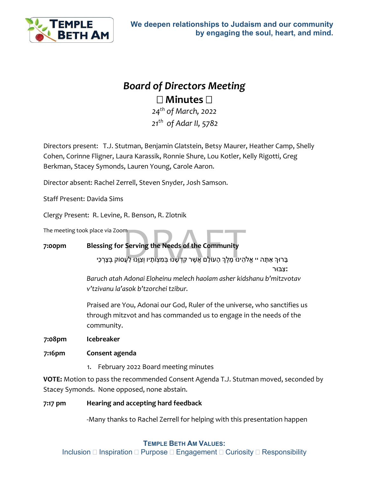

# *Board of Directors Meeting* **Minutes**

*24th of March, 2022 21 th of Adar II, 5782*

Directors present: T.J. Stutman, Benjamin Glatstein, Betsy Maurer, Heather Camp, Shelly Cohen, Corinne Fligner, Laura Karassik, Ronnie Shure, Lou Kotler, Kelly Rigotti, Greg Berkman, Stacey Symonds, Lauren Young, Carole Aaron.

Director absent: Rachel Zerrell, Steven Snyder, Josh Samson.

Staff Present: Davida Sims

Clergy Present: R. Levine, R. Benson, R. Zlotnik

The meeting took place via Zoom

## **7:00pm Blessing for Serving the Needs of the Community**

ace via Zoom<br>e<mark>ssing for Serving the Needs of the Community</mark><br>בְּרוּךְ אַתָּה יי אֱלֹהֵינוּ מֶלֶךְ הָעוֹלָם אֲשֶׁר קִדְשָׁנוּ בְּמִצְוֹתָיו וְצִוְּנוּ לַעֲסוֹק בְּצָרְכֵי

**׃**צִ בּוּר

*Baruch atah Adonai Eloheinu melech haolam asher kidshanu b'mitzvotav v'tzivanu la'asok b'tzorchei tzibur.*

Praised are You, Adonai our God, Ruler of the universe, who sanctifies us through mitzvot and has commanded us to engage in the needs of the community.

**7:08pm Icebreaker**

#### **7:16pm Consent agenda**

1. February 2022 Board meeting minutes

**VOTE:** Motion to pass the recommended Consent Agenda T.J. Stutman moved, seconded by Stacey Symonds.None opposed, none abstain.

### **7:17 pm Hearing and accepting hard feedback**

-Many thanks to Rachel Zerrell for helping with this presentation happen